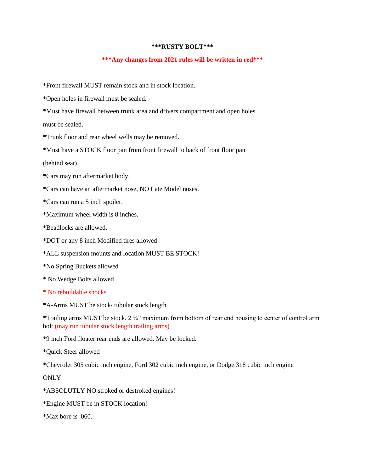## **\*\*\*RUSTY BOLT\*\*\***

## **\*\*\*Any changes from 2021 rules will be written in red\*\*\***

\*Front firewall MUST remain stock and in stock location.

\*Open holes in firewall must be sealed.

\*Must have firewall between trunk area and drivers compartment and open holes

must be sealed.

\*Trunk floor and rear wheel wells may be removed.

\*Must have a STOCK floor pan from front firewall to back of front floor pan

(behind seat)

\*Cars may run aftermarket body.

\*Cars can have an aftermarket nose, NO Late Model noses.

\*Cars can run a 5 inch spoiler.

\*Maximum wheel width is 8 inches.

\*Beadlocks are allowed.

- \*DOT or any 8 inch Modified tires allowed
- \*ALL suspension mounts and location MUST BE STOCK!
- \*No Spring Buckets allowed
- \* No Wedge Bolts allowed
- \* No rebuildable shocks

\*A-Arms MUST be stock/ tubular stock length

\*Trailing arms MUST be stock. 2 ¾" maximum from bottom of rear end housing to center of control arm bolt (may run tubular stock length trailing arms)

\*9 inch Ford floater rear ends are allowed. May be locked.

\*Quick Steer allowed

\*Chevrolet 305 cubic inch engine, Ford 302 cubic inch engine, or Dodge 318 cubic inch engine

**ONLY** 

\*ABSOLUTLY NO stroked or destroked engines!

\*Engine MUST be in STOCK location!

\*Max bore is .060.